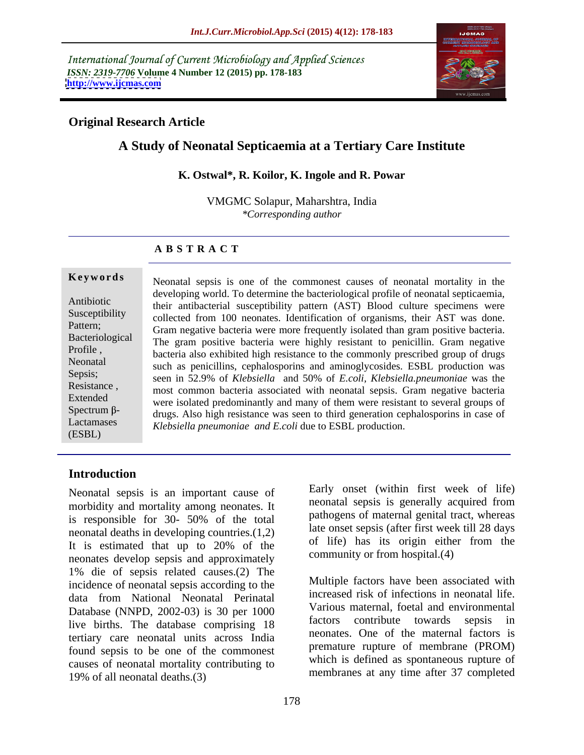International Journal of Current Microbiology and Applied Sciences *ISSN: 2319-7706* **Volume 4 Number 12 (2015) pp. 178-183 <http://www.ijcmas.com>**



# **Original Research Article**

# **A Study of Neonatal Septicaemia at a Tertiary Care Institute**

## **K. Ostwal\*, R. Koilor, K. Ingole and R. Powar**

VMGMC Solapur, Maharshtra, India *\*Corresponding author*

## **A B S T R A C T**

(ESBL)

**Keywords** Neonatal sepsis is one of the commonest causes of neonatal mortality in the developing world. To determine the bacteriological profile of neonatal septicaemia, Antibiotic<br>
their antibacterial susceptibility pattern (AST) Blood culture specimens were Susceptibility collected from 100 neonates. Identification of organisms, their AST was done. Pattern;<br>Gram negative bacteria were more frequently isolated than gram positive bacteria. Bacteriological The gram positive bacteria were highly resistant to penicillin. Gram negative Profile , bacteria also exhibited high resistance to the commonly prescribed group of drugs Neonatal such as penicillins, cephalosporins and aminoglycosides. ESBL production was seen in 52.9% of *Klebsiella* and 50% of *E.coli, Klebsiella.pneumoniae* was the Sepsis; Resistance,<br>
most common bacteria associated with neonatal sepsis. Gram negative bacteria Extended<br>were isolated predominantly and many of them were resistant to several groups of  $\frac{1}{2}$  drugs. Also high resistance was seen to third generation cephalosporins in case of Lactamases<br> *Klebsiella pneumoniae and E.coli* due to ESBL production.

# **Introduction**

Neonatal sepsis is an important cause of morbidity and mortality among neonates. It is responsible for 30- 50% of the total neonatal deaths in developing countries.(1,2) It is estimated that up to 20% of the neonates develop sepsis and approximately 1% die of sepsis related causes.(2) The incidence of neonatal sepsis according to the data from National Neonatal Perinatal Database (NNPD, 2002-03) is 30 per 1000<br>live births. The detebrace commising 19 factors contribute towards sepsis in live births. The database comprising 18 tertiary care neonatal units across India found sepsis to be one of the commonest causes of neonatal mortality contributing to 19% of all neonatal deaths.(3)

Early onset (within first week of life) neonatal sepsis is generally acquired from pathogens of maternal genital tract, whereas late onset sepsis (after first week till 28 days of life) has its origin either from the community or from hospital.(4)

Multiple factors have been associated with increased risk of infections in neonatal life. Various maternal, foetal and environmental factors contribute towards sepsis in neonates. One of the maternal factors is premature rupture of membrane (PROM) which is defined as spontaneous rupture of membranes at any time after 37 completed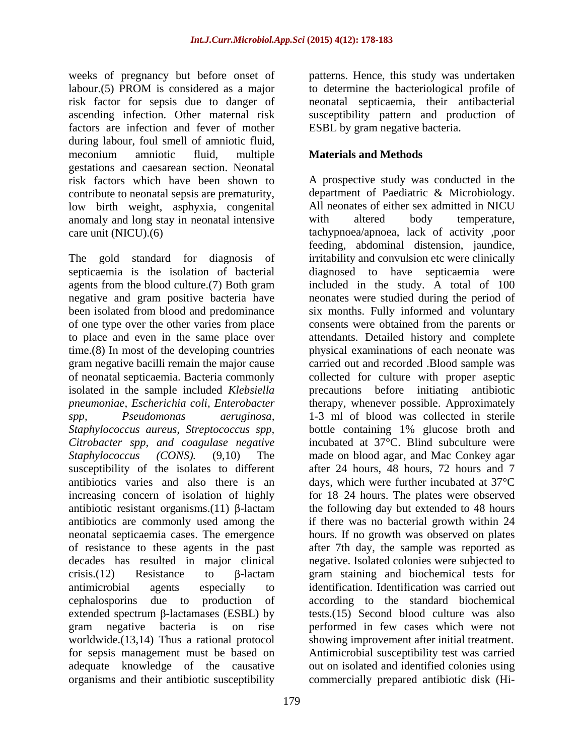weeks of pregnancy but before onset of labour.(5) PROM is considered as a major risk factor for sepsis due to danger of neonatal septicaemia, their antibacterial ascending infection. Other maternal risk susceptibility pattern and production of factors are infection and fever of mother during labour, foul smell of amniotic fluid, meconium amniotic fluid, multiple **Materials and Methods** gestations and caesarean section. Neonatal risk factors which have been shown to contribute to neonatal sepsis are prematurity, department of Paediatric & Microbiology.<br>
low birth weight asphysia congenital All neonates of either sex admitted in NICU low birth weight, asphyxia, congenital anomaly and long stay in neonatal intensive with altered body temperature,

septicaemia is the isolation of bacterial *Staphylococcus aureus, Streptococcus spp, Citrobacter spp, and coagulase negative* extended spectrum  $\beta$ -lactamases (ESBL) by organisms and their antibiotic susceptibility commercially prepared antibiotic disk (Hi-

patterns. Hence, this study was undertaken to determine the bacteriological profile of ESBL by gram negative bacteria.

# **Materials and Methods**

care unit (NICU).(6) tachypnoea/apnoea, lack of activity ,poor The gold standard for diagnosis of irritability and convulsion etc were clinically agents from the blood culture.(7) Both gram included in the study. A total of 100 negative and gram positive bacteria have neonates were studied during the period of been isolated from blood and predominance six months. Fully informed and voluntary of one type over the other varies from place consents were obtained from the parents or to place and even in the same place over attendants. Detailed history and complete time.(8) In most of the developing countries physical examinations of each neonate was gram negative bacilli remain the major cause carried out and recorded .Blood sample was of neonatal septicaemia. Bacteria commonly collected for culture with proper aseptic isolated in the sample included *Klebsiella*  precautions before initiating antibiotic *pneumoniae, Escherichia coli, Enterobacter* therapy, whenever possible. Approximately *spp, Pseudomonas aeruginosa,* 1-3 ml of blood was collected in sterile *Staphylococcus (CONS).* (9,10) The made on blood agar, and Mac Conkey agar susceptibility of the isolates to different after 24 hours, 48 hours, 72 hours and 7 antibiotics varies and also there is an days, which were further incubated at 37°C increasing concern of isolation of highly for 18 24 hours. The plates were observed antibiotic resistant organisms.(11)  $\beta$ -lactam the following day but extended to 48 hours antibiotics are commonly used among the if there was no bacterial growth within 24 neonatal septicaemia cases. The emergence hours. If no growth was observed on plates of resistance to these agents in the past after 7th day, the sample was reported as decades has resulted in major clinical negative. Isolated colonies were subjected to crisis.(12) Resistance to  $\beta$ -lactam gram staining and biochemical tests for antimicrobial agents especially to identification. Identification wascarried out cephalosporins due to production of according to the standard biochemical gram negative bacteria is on rise performed in few cases which were not worldwide.(13,14) Thus a rational protocol showing improvement after initial treatment. for sepsis management must be based on Antimicrobial susceptibility test was carried adequate knowledge of the causative out on isolated and identified colonies using A prospective study was conducted in the department of Paediatric & Microbiology. All neonates of either sex admitted in NICU with altered body temperature, feeding, abdominal distension, jaundice, diagnosed to have septicaemia were bottle containing 1% glucose broth and incubated at 37°C. Blind subculture were tests.(15) Second blood culture was also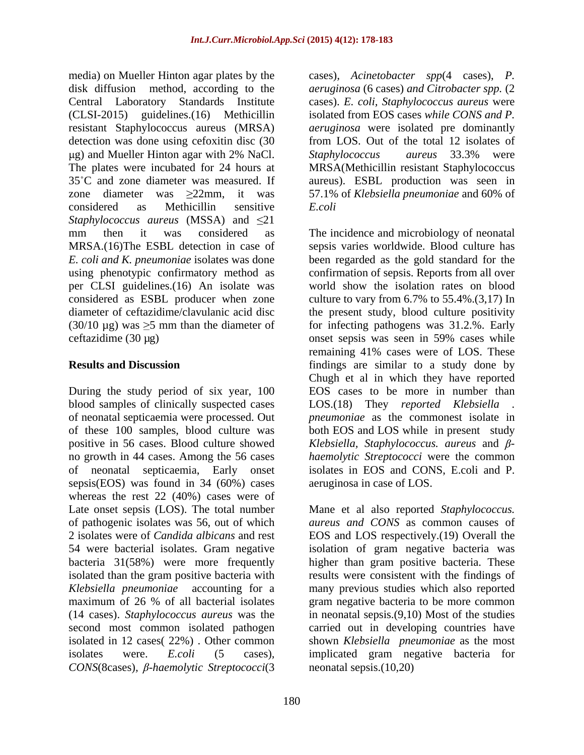media) on Mueller Hinton agar plates by the cases)*, Acinetobacter spp*(4 cases), *P.*  disk diffusion method, according to the *aeruginosa* (6 cases) *and Citrobacter spp.* (2 Central Laboratory Standards Institute cases). *E. coli, Staphylococcus aureus* were (CLSI-2015) guidelines.(16) Methicillin isolated from EOS cases *while CONS and P.*  resistant Staphylococcus aureus (MRSA) detection was done using cefoxitin disc (30 The plates were incubated for 24 hours at MRSA(Methicillin resistant Staphylococcus 35 C and zone diameter was measured. If aureus). ESBL production was seen in zone diameter was 22mm, it was 57.1% of *Klebsiella pneumoniae* and 60% of considered as Methicillin sensitive E.coli *Staphylococcus aureus* (MSSA) and  $\leq 21$ mm then it was considered as The incidence and microbiology of neonatal MRSA.(16)The ESBL detection in case of sepsis varies worldwide. Blood culture has *E. coli and K. pneumoniae* isolates was done using phenotypic confirmatory method as confirmation of sepsis. Reports from all over per CLSI guidelines.(16) An isolate was considered as ESBL producer when zone culture to vary from 6.7% to 55.4%.(3,17) In diameter of ceftazidime/clavulanic acid disc the present study, blood culture positivity  $(30/10 \,\mu\text{g})$  was  $\geq 5$  mm than the diameter of for infecting pathogens was 31.2.%. Early ceftazidime (30 µg) onset sepsis was seen in 59% cases while

During the study period of six year, 100 blood samples of clinically suspected cases LOS.(18) They *reported Klebsiella .* of neonatal septicaemia were processed. Out *pneumoniae* as the commonest isolate in of these 100 samples, blood culture was both EOS and LOS while in present study  $\beta$ -*Klebsiella, Staphylococcus. aureus* and *β*-*Klebsiella, Staphylococcus. aureus* and *β*no growth in 44 cases. Among the 56 cases *haemolytic Streptococci* were the common of neonatal septicaemia, Early onset isolates in EOS and CONS, E.coli and P. sepsis(EOS) was found in 34 (60%) cases whereas the rest 22 (40%) cases were of Late onset sepsis (LOS). The total number Mane et al also reported *Staphylococcus.*  of pathogenic isolates was 56, out of which 2 isolates were of *Candida albicans* and rest EOS and LOS respectively.(19) Overall the 54 were bacterial isolates. Gram negative isolation of gram negative bacteria was bacteria 31(58%) were more frequently isolated than the gram positive bacteria with results were consistent with the findings of *Klebsiella pneumoniae* accounting for a many previous studies which also reported maximum of 26 % of all bacterial isolates gram negative bacteria to be more common (14 cases). *Staphylococcus aureus* was the in neonatal sepsis.(9,10) Most of the studies second most common isolated pathogen carried out in developing countries have isolated in 12 cases( 22%) . Other common shown *Klebsiella pneumoniae* as the most isolates were. *E.coli* (5 cases)*, CONS*(8cases)*, -haemolytic Streptococci*(3

g) and Mueller Hinton agar with 2% NaCl. Staphylococcus aureus 33.3% were *aeruginosa* were isolated pre dominantly from LOS. Out of the total 12 isolates of *Staphylococcus aureus* 33.3% were *E.coli*

**Results and Discussion**  findings are similar to a study done by been regarded as the gold standard for the world show the isolation rates on blood remaining 41% cases were of LOS. These Chugh et al in which they have reported EOS cases to be more in number than aeruginosa in case of LOS.

> *aureus and CONS* as common causes of higher than gram positive bacteria. These implicated gram negative bacteria for neonatal sepsis.(10,20)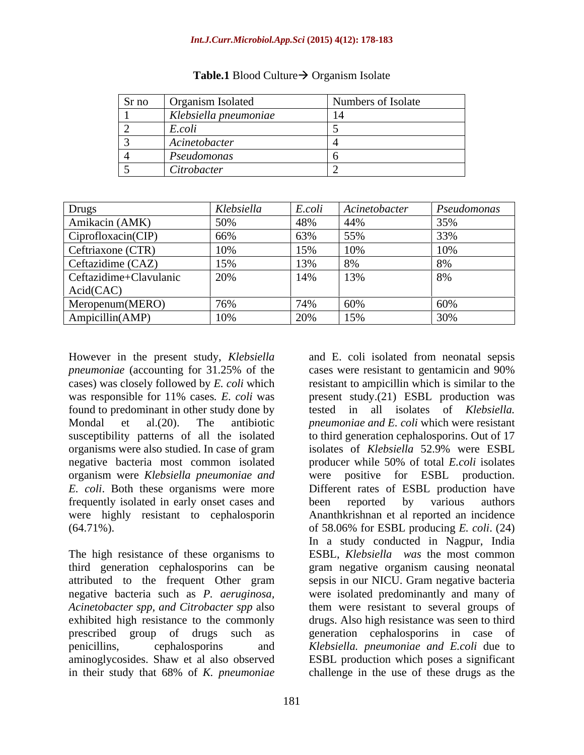#### *Int.J.Curr.Microbiol.App.Sci* **(2015) 4(12): 178-183**

| Sr no | Organism Isolated     | Numbers of Isolate |
|-------|-----------------------|--------------------|
|       | Klebsiella pneumoniae |                    |
|       | E.coli                |                    |
|       | Acinetobacter         |                    |
|       | Pseudomonas           |                    |
|       | Citrobacter           |                    |

#### **Table.1** Blood Culture  $\rightarrow$  Organism Isolate

| $L_{\rm T}$ rugs       | Klebsiella | E.coli   | $\vert$ Acinetobacter | Pseudomonas |
|------------------------|------------|----------|-----------------------|-------------|
| Amikacin (AMK)         | 50%        | $40\%$   | 44%                   | $32\%$      |
| Ciprofloxacin(CIP)     | 66%        |          | 55%                   |             |
| Ceftriaxone (CTR)      |            |          | 10%                   |             |
| Ceftazidime (CAZ)      |            |          | -8%                   |             |
| Ceftazidime+Clavulanic | 20%        | $14\%$   | 13%                   |             |
| Acid(CAC)              |            |          |                       |             |
| Meropenum(MERO)        |            | $1 + 70$ | 60%                   |             |
| Ampicillin(AMP)        |            |          | 15%                   |             |

# However in the present study, *Klebsiella*  negative bacteria most common isolated producer while 50% of total *E.coli* isolates organism were *Klebsiella pneumoniae and* frequently isolated in early onset cases and been reported by various authors

The high resistance of these organisms to aminoglycosides. Shaw et al also observed

*pneumoniae* (accounting for 31.25% of the cases) was closely followed by *E. coli* which resistant to ampicillin which is similar to the was responsible for 11% cases*. E. coli* was present study.(21) ESBL production was found to predominant in other study done by tested in all isolates of *Klebsiella.*  Mondal et al.(20). The antibiotic *pneumoniae and E. coli* which were resistant susceptibility patterns of all the isolated to third generation cephalosporins. Out of 17 organisms were also studied. In case of gram isolates of *Klebsiella* 52.9% were ESBL *E. coli*. Both these organisms were more Different rates of ESBL production have were highly resistant to cephalosporin Ananthkrishnan et al reported an incidence (64.71%). of 58.06% for ESBL producing *E. coli*. (24) third generation cephalosporins can be gram negative organism causing neonatal attributed to the frequent Other gram sepsis in our NICU.Gram negative bacteria negative bacteria such as *P. aeruginosa*, were isolated predominantly and many of *Acinetobacter spp, and Citrobacter spp* also them were resistant to several groups of exhibited high resistance to the commonly drugs. Also high resistance was seen to third prescribed group of drugs such as generation cephalosporins in case of penicillins, cephalosporins and *Klebsiella. pneumoniae and E.coli* due to in their study that 68% of *K. pneumoniae* challenge in the use of these drugs as theand E. coli isolated from neonatal sepsis cases were resistant to gentamicin and 90% producer while 50% of total *E.coli* isolates were positive for ESBL production. been reported by various authors In a study conducted in Nagpur, India ESBL, *Klebsiella was* the most common were isolated predominantly and many of them were resistant to several groups of ESBL production which poses a significant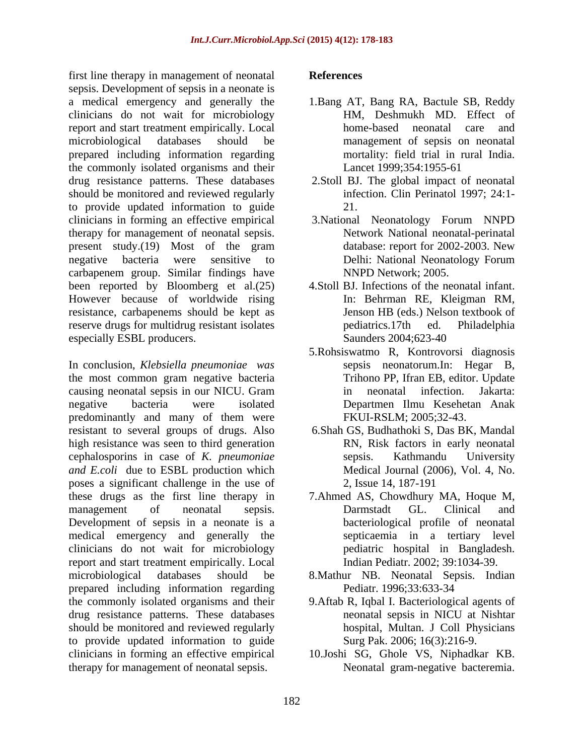first line therapy in management of neonatal sepsis. Development of sepsis in a neonate is a medical emergency and generally the 1.Bang AT, Bang RA, Bactule SB, Reddy clinicians do not wait for microbiology report and start treatment empirically. Local microbiological databases should be management of sepsis on neonatal prepared including information regarding the commonly isolated organisms and their Lancet 1999;354:1955-61 drug resistance patterns. These databases should be monitored and reviewed regularly to provide updated information to guide clinicians in forming an effective empirical therapy for management of neonatal sepsis. present study.(19) Most of the gram database: report for 2002-2003. New negative bacteria were sensitive to carbapenem group. Similar findings have been reported by Bloomberg et al.(25) However because of worldwide rising resistance, carbapenems should be kept as reserve drugs for multidrug resistant isolates pediatrics.17th ed. Philadelphia especially ESBL producers. Saunders 2004;623-40

In conclusion, *Klebsiella pneumoniae was* the most common gram negative bacteria causing neonatal sepsis in our NICU. Gram negative bacteria were isolated Departmen Ilmu Kesehetan Anak predominantly and many of them were resistant to several groups of drugs. Also high resistance was seen to third generation cephalosporins in case of *K. pneumoniae and E.coli* due to ESBL production which poses a significant challenge in the use of these drugs as the first line therapy in management of neonatal sepsis. Darmstadt GL. Clinical and Development of sepsis in a neonate is a medical emergency and generally the clinicians do not wait for microbiology report and start treatment empirically. Local microbiological databases should be 8.Mathur NB. Neonatal Sepsis. Indian prepared including information regarding the commonly isolated organisms and their 9.Aftab R, Iqbal I. Bacteriological agents of drug resistance patterns. These databases neonatal sepsis in NICU at Nishtar should be monitored and reviewed regularly to provide updated information to guide clinicians in forming an effective empirical 10.Joshi SG, Ghole VS, Niphadkar KB. therapy for management of neonatal sepsis.

## **References**

- HM, Deshmukh MD. Effect of home-based neonatal care and mortality: field trial in rural India. Lancet 1999;354:1955-61
- 2.Stoll BJ. The global impact of neonatal infection. Clin Perinatol 1997; 24:1- 21.
- 3.National Neonatology Forum NNPD Network National neonatal-perinatal database: report for 2002-2003. New Delhi: National Neonatology Forum NNPD Network; 2005.
- 4.Stoll BJ. Infections of the neonatal infant. In: Behrman RE, Kleigman RM, Jenson HB (eds.) Nelson textbook of pediatrics.17th ed. Philadelphia Saunders 2004;623-40
- 5.Rohsiswatmo R, Kontrovorsi diagnosis sepsis neonatorum.In: Hegar B, Trihono PP, Ifran EB, editor. Update in neonatal infection. FKUI-RSLM; 2005;32-43.
- 6.Shah GS, Budhathoki S, Das BK, Mandal RN, Risk factors in early neonatal sepsis. Kathmandu University Medical Journal (2006), Vol. 4, No. 2, Issue 14, 187-191
- 7.Ahmed AS, Chowdhury MA, Hoque M, Darmstadt GL. Clinical and bacteriological profile of neonatal septicaemia in a tertiary level pediatric hospital in Bangladesh. Indian Pediatr. 2002; 39:1034-39.
- Pediatr. 1996;33:633-34
- neonatal sepsis in NICU at Nishtar hospital, Multan. J Coll Physicians Surg Pak. 2006; 16(3):216-9.
- Neonatal gram-negative bacteremia.